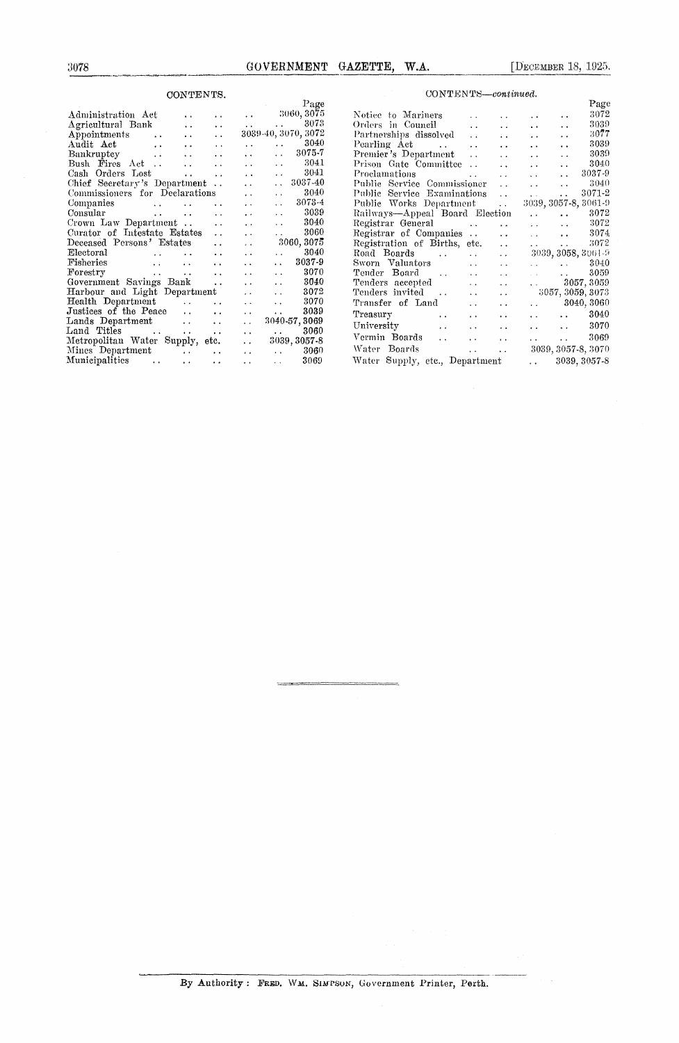## CONTENTS.

|                                            | CONTENTS.                                        |                      |                      |                                                   |  |
|--------------------------------------------|--------------------------------------------------|----------------------|----------------------|---------------------------------------------------|--|
|                                            |                                                  |                      |                      | Page                                              |  |
| Administration Act                         |                                                  | . .                  |                      | $\ldots$ 3060, 3075                               |  |
| Agricultural Bank                          | $\ddot{\phantom{a}}$                             | $\ddot{\phantom{0}}$ | $\sim 10^{-11}$      | 3073                                              |  |
| Appointments<br>$\sim$ .                   | $\ddot{\phantom{0}}$                             | $\ddot{\phantom{a}}$ |                      | 3039-40, 3070, 3072                               |  |
| Audit Act<br>$\ddot{\phantom{a}}$          |                                                  | $\ddot{\phantom{a}}$ | $\ddot{\phantom{0}}$ | 3040<br>$\mathbf{r}$ , and the state $\mathbf{r}$ |  |
| Bankruptcy<br>$\sim$ 100 $\sim$            | $\ddot{\phantom{a}}$                             | $\ddot{\phantom{0}}$ | $\ddot{\phantom{1}}$ | 3075-7                                            |  |
| Bush Fires Act                             | $\ddot{\phantom{0}}$                             | $\ddot{\phantom{0}}$ | . .                  | 3041<br>$\ddot{\phantom{0}}$                      |  |
| Cash Orders Lost                           | $\ddot{\phantom{0}}$                             | $\ddot{\phantom{0}}$ | $\ddot{\phantom{0}}$ | 3041<br>$\ddot{\phantom{a}}$                      |  |
| Chief Secretary's Department               |                                                  | $\ddotsc$            | $\ddot{\phantom{a}}$ | 3037-40<br>$\ddot{\phantom{a}}$                   |  |
| Commissioners for Declarations             |                                                  |                      | $\ddot{\phantom{0}}$ | 3040<br>$\ddot{\phantom{0}}$                      |  |
| Companies                                  |                                                  | . .                  | . .                  | 3073-4<br>$\ddot{\phantom{a}}$                    |  |
| Consular                                   | <b>Contract Contract</b><br>$\ddot{\phantom{a}}$ | $\ddot{\phantom{0}}$ | . .                  | 3039<br>. .                                       |  |
| Crown Law Department                       |                                                  | $\ddot{\phantom{0}}$ | $\ddot{\phantom{1}}$ | 3040<br>$\ddot{\phantom{0}}$                      |  |
| Curator of Intestate Estates               |                                                  | $\ddotsc$            | $\ddot{\phantom{1}}$ | 3060<br>. .                                       |  |
| Deceased Persons' Estates                  |                                                  | . .                  | . .                  | 3060, 3075                                        |  |
| Electoral                                  |                                                  | $\ddot{\phantom{0}}$ | $\ddot{\phantom{0}}$ | 3040<br>$\ddot{\phantom{a}}$                      |  |
| ${\rm F}$ isheries<br>$\ddot{\phantom{a}}$ | . .                                              | $\ddot{\phantom{0}}$ | . .                  | 3037-9<br>$\ddot{\phantom{a}}$                    |  |
| $\mathbf{For} \mathbf{entry}$<br>$\cdots$  | . .                                              | $\ddot{\phantom{0}}$ |                      | 3070<br>$\ddot{\phantom{a}}$                      |  |
| Government Savings Bank                    |                                                  | $\ddot{\phantom{0}}$ | $\ddot{\phantom{0}}$ | 3040<br>$\ddot{\phantom{a}}$                      |  |
| Harbour and Light Department               |                                                  |                      | . .                  | 3072<br>$\ddot{\phantom{a}}$                      |  |
| Health Department                          | $\ddot{\phantom{a}}$                             | . .                  | $\ddot{\phantom{0}}$ | 3070<br>$\ddot{\phantom{a}}$                      |  |
| Justices of the Peace                      | $\ddot{\phantom{a}}$                             |                      | $\ddot{\phantom{a}}$ | 3039<br>$\ddot{\phantom{0}}$                      |  |
| Lands Department                           | $\ddot{\phantom{a}}$                             | $\ddot{\phantom{a}}$ | $\ddot{\phantom{0}}$ | 3040-57, 3069                                     |  |
| Land Titles<br>and the state of the state  |                                                  | $\ddot{\phantom{0}}$ | $\ddot{\phantom{0}}$ | 3060                                              |  |
| Metropolitan Water Supply, etc.            |                                                  |                      | $\ddot{\phantom{0}}$ | 3039, 3057-8                                      |  |
| Mines Department                           |                                                  |                      | $\cdots$             | 3060<br><b>CALL CO</b>                            |  |
| Municipalities<br>$\ddot{\phantom{0}}$     | $\ddot{\phantom{1}}$                             |                      |                      | 3069<br><b>Allen Control</b>                      |  |
|                                            |                                                  | $\ddot{\phantom{0}}$ | $\ddot{\phantom{0}}$ |                                                   |  |

|                                       |                      |                      |                           |                                                           | Page                  |
|---------------------------------------|----------------------|----------------------|---------------------------|-----------------------------------------------------------|-----------------------|
| Notice to Mariners                    | $\ddot{\phantom{1}}$ | $\ddot{\phantom{a}}$ | $\ddot{\phantom{1}}$      | $\ddot{\phantom{a}}$                                      | 3072                  |
| Orders in Council                     | $\ddot{\phantom{a}}$ | $\ddot{\phantom{0}}$ | $\ddot{\phantom{0}}$      | $\ddot{\phantom{a}}$                                      | 3039                  |
| Partnerships dissolved                | $\ddot{\phantom{a}}$ | $\ddot{\phantom{0}}$ | $\ddot{\phantom{1}}$      | $\ddot{\phantom{0}}$                                      | 3077                  |
| Pearling Act                          | $\ddot{\phantom{a}}$ | $\ddot{\phantom{0}}$ | $\ddot{\phantom{0}}$      | $\ddot{\phantom{a}}$                                      | 3039                  |
| Premier's Department                  | . .                  | $\ddot{\phantom{a}}$ | $\ddot{\phantom{0}}$      | $\ddotsc$                                                 | 3039                  |
| Prison Gate Committee                 | $\ddot{\phantom{a}}$ | $\ddot{\phantom{a}}$ | $\ddot{\phantom{0}}$      | $\ddot{\phantom{a}}$                                      | 3040                  |
| Proclamations                         | $\ddot{\phantom{a}}$ | $\ddot{\phantom{0}}$ | $\sim$ $\sim$             | $\ddot{\phantom{0}}$                                      | 3037-9                |
| Public Service Commissioner           |                      | $\mathbf{r}$         | and the con-              | $\ddot{\phantom{a}}$                                      | 3040                  |
| Public Service Examinations           |                      | $\ddot{\phantom{a}}$ | and the                   | $\ddot{\phantom{a}}$                                      | 3071-2                |
| Public Works Department               |                      | $\ddotsc$            |                           |                                                           | 3039, 3057-8, 3061-9  |
| Railways-Appeal Board Election        |                      |                      | and the control           |                                                           | 3072                  |
| Registrar General                     |                      | $\ddot{\phantom{a}}$ | المتعارض والمتلاء         |                                                           | 3072                  |
| Registrar of Companies                |                      | $\ddot{\phantom{0}}$ |                           | and the state of the state of the                         | 3074                  |
| Registration of Births, etc.          |                      | $\ddot{\phantom{0}}$ | $\mathbf{r}$              | $\mathbf{v}$ , $\mathbf{v}$ , $\mathbf{v}$ , $\mathbf{v}$ | 3072                  |
| Road Boards                           | $\ddotsc$            | $\ddotsc$            |                           |                                                           | 3039, 3058, 3061-9    |
| Sworn Valuators                       | $\ddot{\phantom{a}}$ | $\ddot{\phantom{a}}$ | and the con-              | <b>Alan Alban</b>                                         | 3040                  |
| Tender Board                          | $\ddotsc$            | $\ddot{\phantom{1}}$ | and the com-              | <b>Contractor</b>                                         | 3059                  |
| Tenders accepted                      | $\ddot{\phantom{0}}$ | $\ddot{\phantom{a}}$ |                           |                                                           | $\ldots$ 3057, 3059   |
| Tenders invited                       | $\ddot{\phantom{0}}$ | $\ddot{\phantom{0}}$ |                           |                                                           | 3057, 3059, 3073      |
| Transfer of Land                      | $\ddot{\phantom{0}}$ | $\ddot{\phantom{1}}$ |                           |                                                           | $\ldots$ 3040, 3060   |
| Treasury<br>$\sim$ $\sim$             | $\ddot{\phantom{1}}$ | $\ddot{\phantom{a}}$ |                           | <b>Contract Contract</b>                                  | 3040                  |
| University                            | $\ddot{\phantom{0}}$ | $\ddot{\phantom{0}}$ |                           | <b>Participants</b>                                       | 3070                  |
| Vermin Boards<br>$\ddot{\phantom{a}}$ | $\ddot{\phantom{0}}$ | $\ddot{\phantom{a}}$ | <b>Alberta Controller</b> | $\mathbf{r}$ , $\mathbf{r}$ , $\mathbf{r}$ , $\mathbf{r}$ | 3069                  |
| Water Boards                          | i.                   | . .                  |                           |                                                           | 3039, 3057-8, 3070    |
| Water Supply, etc., Department        |                      |                      |                           |                                                           | $\ldots$ 3039, 3057-8 |

 $\label{eq:convex} \textsc{CONTENTS—continued}.$ 

 $\equiv$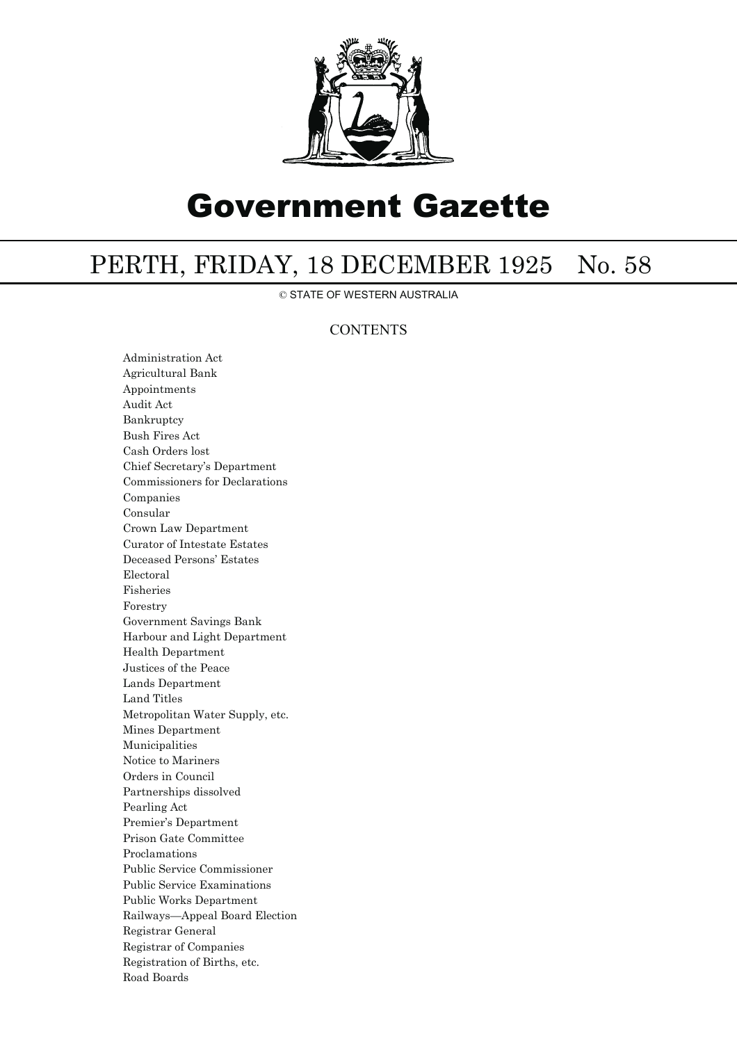

## Government Gazette

## PERTH, FRIDAY, 18 DECEMBER 1925 No. 58

© STATE OF WESTERN AUSTRALIA

## **CONTENTS**

Administration Act Agricultural Bank Appointments Audit Act Bankruptcy Bush Fires Act Cash Orders lost Chief Secretary's Department Commissioners for Declarations Companies Consular Crown Law Department Curator of Intestate Estates Deceased Persons' Estates Electoral Fisheries Forestry Government Savings Bank Harbour and Light Department Health Department Justices of the Peace Lands Department Land Titles Metropolitan Water Supply, etc. Mines Department Municipalities Notice to Mariners Orders in Council Partnerships dissolved Pearling Act Premier's Department Prison Gate Committee Proclamations Public Service Commissioner Public Service Examinations Public Works Department Railways—Appeal Board Election Registrar General Registrar of Companies Registration of Births, etc. Road Boards